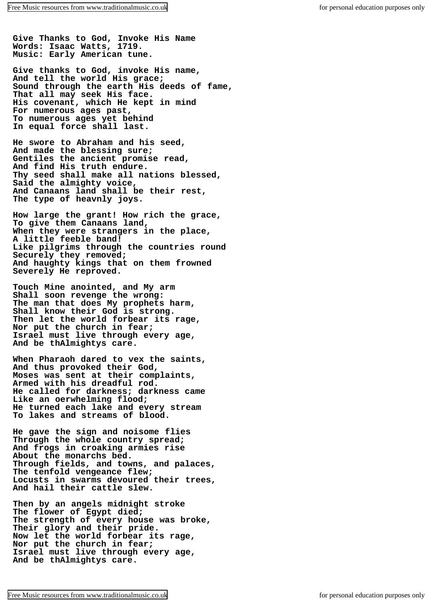**Give Thanks to God, Invoke His Name Words: Isaac Watts, 1719. Music: Early American tune.**

**Give thanks to God, invoke His name, And tell the world His grace; Sound through the earth His deeds of fame, That all may seek His face. His covenant, which He kept in mind For numerous ages past, To numerous ages yet behind In equal force shall last.**

**He swore to Abraham and his seed, And made the blessing sure; Gentiles the ancient promise read, And find His truth endure. Thy seed shall make all nations blessed, Said the almighty voice, And Canaans land shall be their rest, The type of heavnly joys.**

**How large the grant! How rich the grace, To give them Canaans land, When they were strangers in the place, A little feeble band! Like pilgrims through the countries round Securely they removed; And haughty kings that on them frowned Severely He reproved.**

**Touch Mine anointed, and My arm Shall soon revenge the wrong: The man that does My prophets harm, Shall know their God is strong. Then let the world forbear its rage, Nor put the church in fear; Israel must live through every age, And be thAlmightys care.**

**When Pharaoh dared to vex the saints, And thus provoked their God, Moses was sent at their complaints, Armed with his dreadful rod. He called for darkness; darkness came Like an oerwhelming flood; He turned each lake and every stream To lakes and streams of blood.**

**He gave the sign and noisome flies Through the whole country spread; And frogs in croaking armies rise About the monarchs bed. Through fields, and towns, and palaces, The tenfold vengeance flew; Locusts in swarms devoured their trees, And hail their cattle slew.**

**Then by an angels midnight stroke The flower of Egypt died; The strength of every house was broke, Their glory and their pride. Now let the world forbear its rage, Nor put the church in fear; Israel must live through every age, And be thAlmightys care.**